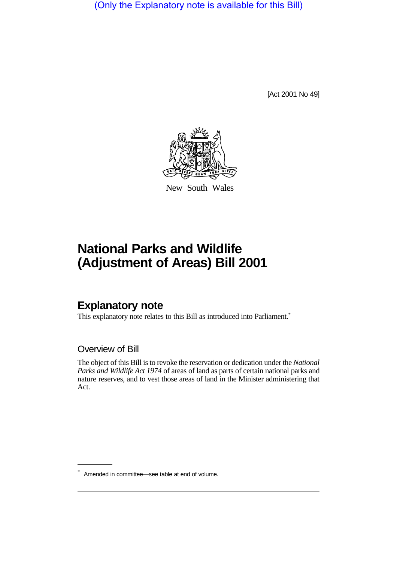(Only the Explanatory note is available for this Bill)

[Act 2001 No 49]



New South Wales

# **National Parks and Wildlife (Adjustment of Areas) Bill 2001**

## **Explanatory note**

This explanatory note relates to this Bill as introduced into Parliament.<sup>\*</sup>

### Overview of Bill

The object of this Bill is to revoke the reservation or dedication under the *National Parks and Wildlife Act 1974* of areas of land as parts of certain national parks and nature reserves, and to vest those areas of land in the Minister administering that Act.

<sup>\*</sup> Amended in committee—see table at end of volume.